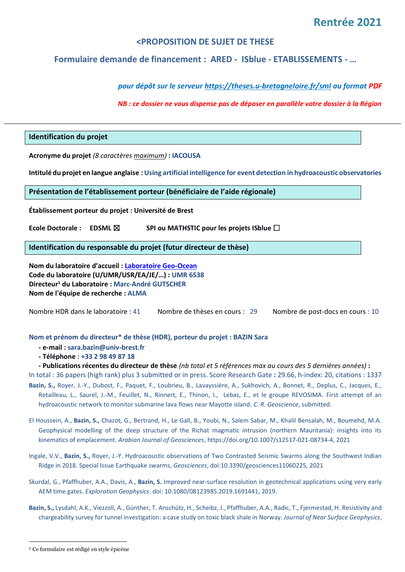# **Rentrée 2021**

# **<PROPOSITION DE SUJET DE THESE**

# **Formulaire demande de financement : ARED - ISblue - ETABLISSEMENTS - …**

*pour dépôt sur le serveur [https://theses.u-bretagneloire.fr/sml](mailto:edsml@u-bretagneloire.fr) au format PDF*

*NB : ce dossier ne vous dispense pas de déposer en parallèle votre dossier à la Région*

# **Identification du projet**

**Acronyme du projet** *(8 caractères maximum)* **: IACOUSA**

**Intitulé du projet en langue anglaise :Using artificial intelligence for event detection in hydroacoustic observatories**

#### **Présentation de l'établissement porteur (bénéficiaire de l'aide régionale)**

**Établissement porteur du projet : Université de Brest**

**Ecole Doctorale : EDSML** ☒ **SPI ou MATHSTIC pour les projets ISblue** ☐

**Identification du responsable du projet (futur directeur de thèse)**

**Nom du laboratoire d'accueil : [Laboratoire Geo-Ocean](https://wwz.ifremer.fr/geoocean) Code du laboratoire (U/UMR/USR/EA/JE/…) : UMR 6538 Directeur<sup>1</sup> du Laboratoire : Marc-André GUTSCHER Nom de l'équipe de recherche : ALMA**

Nombre HDR dans le laboratoire : 41 Nombre de thèses en cours : 29 Nombre de post-docs en cours : 10

### **Nom et prénom du directeur\* de thèse (HDR), porteur du projet : BAZIN Sara**

- **- e-mail : sara.bazin@univ-brest.fr**
- **- Téléphone : +33 2 98 49 87 18**

**- Publications récentes du directeur de thèse** *(nb total et 5 références max au cours des 5 dernières années)* **:**

- In total : 36 papers (high rank) plus 3 submitted or in press. Score Research Gate **:** 29.66, h-index: 20, citations : 1337 **Bazin, S.,** Royer, J.-Y., Dubost, F., Paquet, F., Loubrieu, B., Lavayssière, A., Sukhovich, A., Bonnet, R., Deplus, C., Jacques, E., Retailleau, L., Saurel, J.-M., Feuillet, N., Rinnert, E., Thinon, I., Lebas, E., et le groupe REVOSIMA. First attempt of an
- hydroacoustic network to monitor submarine lava flows near Mayotte island. *C. R. Geoscience*, submitted.
- El Houssein, A., **Bazin, S.,** Chazot, G., Bertrand, H., Le Gall, B., Youbi, N., Salem Sabar, M., Khalil Bensalah, M., Boumehd, M.A. Geophysical modelling of the deep structure of the Richat magmatic intrusion (northern Mauritania): insights into its kinematics of emplacement. *Arabian Journal of Geosciences*[, https://doi.org/10.1007/s12517-021-08734-4,](https://doi.org/10.1007/s12517-021-08734-4) 2021
- Ingale, V.V., **Bazin, S.,** Royer, J.-Y. Hydroacoustic observations of Two Contrasted Seismic Swarms along the Southwest Indian Ridge in 2018. Special Issue Earthquake swarms, *Geosciences*, doi:10.3390/geosciences11060225, 2021
- Skurdal, G., Pfaffhuber, A.A., Davis, A., **Bazin, S.** Improved near-surface resolution in geotechnical applications using very early AEM time gates. *Exploration Geophysics*[. doi: 10.1080/08123985.2019.1691441,](https://doi.org/10.1080/08123985.2019.1691441) 2019.
- **Bazin, S.,** Lysdahl, A.K., Viezzoli, A., Günther, T. Anschütz, H., Scheibz, J., Pfaffhuber, A.A., Radic, T., Fjermestad, H. Resistivity and chargeability survey for tunnel investigation: a case study on toxic black shale in Norway. *Journal of Near Surface Geophysics*,

<sup>&</sup>lt;sup>1</sup> Ce formulaire est rédigé en style épicène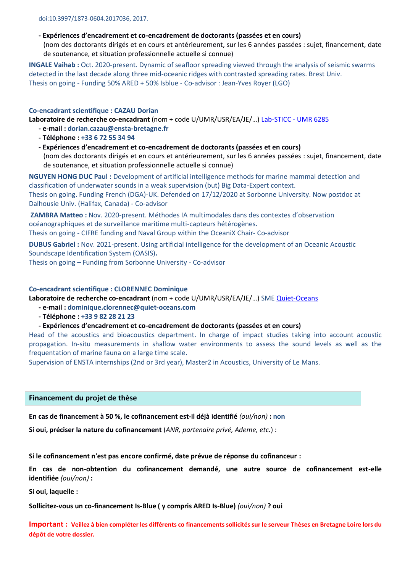# **- Expériences d'encadrement et co-encadrement de doctorants (passées et en cours)**

(nom des doctorants dirigés et en cours et antérieurement, sur les 6 années passées : sujet, financement, date de soutenance, et situation professionnelle actuelle si connue)

**INGALE Vaihab :** Oct. 2020-present. Dynamic of seafloor spreading viewed through the analysis of seismic swarms detected in the last decade along three mid-oceanic ridges with contrasted spreading rates. Brest Univ. Thesis on going - Funding 50% ARED + 50% Isblue - Co-advisor : Jean-Yves Royer (LGO)

### **Co-encadrant scientifique : CAZAU Dorian**

**Laboratoire de recherche co-encadrant** (nom + code U/UMR/USR/EA/JE/…) [Lab-STICC -](https://labsticc.fr/en) UMR 6285

- **- e-mail : dorian.cazau@ensta-bretagne.fr**
- **- Téléphone : +33 6 72 55 34 94**
- **- Expériences d'encadrement et co-encadrement de doctorants (passées et en cours)** (nom des doctorants dirigés et en cours et antérieurement, sur les 6 années passées : sujet, financement, date de soutenance, et situation professionnelle actuelle si connue)

**NGUYEN HONG DUC Paul :** Development of artificial intelligence methods for marine mammal detection and classification of underwater sounds in a weak supervision (but) Big Data-Expert context.

Thesis on going. Funding French (DGA)-UK. Defended on 17/12/2020 at Sorbonne University. Now postdoc at Dalhousie Univ. (Halifax, Canada) - Co-advisor

**ZAMBRA Matteo :** Nov. 2020-present. Méthodes IA multimodales dans des contextes d'observation océanographiques et de surveillance maritime multi-capteurs hétérogènes.

Thesis on going - CIFRE funding and Naval Group within the OceaniX Chair- Co-advisor

**DUBUS Gabriel :** Nov. 2021-present. Using artificial intelligence for the development of an Oceanic Acoustic Soundscape Identification System (OASIS)**.** 

Thesis on going – Funding from Sorbonne University - Co-advisor

### **Co-encadrant scientifique : CLORENNEC Dominique**

**Laboratoire de recherche co-encadrant** (nom + code U/UMR/USR/EA/JE/…) SM[E Quiet-Oceans](https://www.quiet-oceans.com/)

# **- e-mail : dominique.clorennec@quiet-oceans.com**

**- Téléphone : +33 9 82 28 21 23**

# **- Expériences d'encadrement et co-encadrement de doctorants (passées et en cours)**

Head of the acoustics and bioacoustics department. In charge of impact studies taking into account acoustic propagation. In-situ measurements in shallow water environments to assess the sound levels as well as the frequentation of marine fauna on a large time scale.

Supervision of ENSTA internships (2nd or 3rd year), Master2 in Acoustics, University of Le Mans.

# **Financement du projet de thèse**

**En cas de financement à 50 %, le cofinancement est-il déjà identifié** *(oui/non)* **: non**

**Si oui, préciser la nature du cofinancement** (*ANR, partenaire privé, Ademe, etc.*) :

**Si le cofinancement n'est pas encore confirmé, date prévue de réponse du cofinanceur :**

**En cas de non-obtention du cofinancement demandé, une autre source de cofinancement est-elle identifiée** *(oui/non)* **:**

**Si oui, laquelle :**

**Sollicitez-vous un co-financement Is-Blue ( y compris ARED Is-Blue)** *(oui/non)* **? oui**

**Important : Veillez à bien compléter les différents co financements sollicités sur le serveur Thèses en Bretagne Loire lors du dépôt de votre dossier.**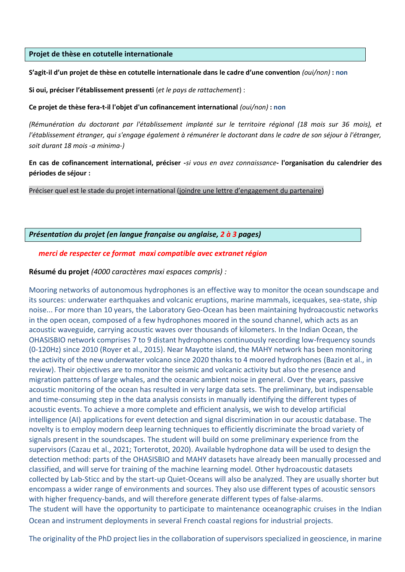# **Projet de thèse en cotutelle internationale**

### **S'agit-il d'un projet de thèse en cotutelle internationale dans le cadre d'une convention** *(oui/non)* **: non**

**Si oui, préciser l'établissement pressenti** (*et le pays de rattachement*) :

### **Ce projet de thèse fera-t-il l'objet d'un cofinancement international** *(oui/non)* **: non**

*(Rémunération du doctorant par l'établissement implanté sur le territoire régional (18 mois sur 36 mois), et l'établissement étranger, qui s'engage également à rémunérer le doctorant dans le cadre de son séjour à l'étranger, soit durant 18 mois -a minima-)*

**En cas de cofinancement international, préciser -***si vous en avez connaissance***- l'organisation du calendrier des périodes de séjour :**

Préciser quel est le stade du projet international (joindre une lettre d'engagement du partenaire)

# *Présentation du projet (en langue française ou anglaise, 2 à 3 pages)*

# *merci de respecter ce format maxi compatible avec extranet région*

# **Résumé du projet** *(4000 caractères maxi espaces compris) :*

Mooring networks of autonomous hydrophones is an effective way to monitor the ocean soundscape and its sources: underwater earthquakes and volcanic eruptions, marine mammals, icequakes, sea-state, ship noise... For more than 10 years, the Laboratory Geo-Ocean has been maintaining hydroacoustic networks in the open ocean, composed of a few hydrophones moored in the sound channel, which acts as an acoustic waveguide, carrying acoustic waves over thousands of kilometers. In the Indian Ocean, the OHASISBIO network comprises 7 to 9 distant hydrophones continuously recording low-frequency sounds (0-120Hz) since 2010 (Royer et al., 2015). Near Mayotte island, the MAHY network has been monitoring the activity of the new underwater volcano since 2020 thanks to 4 moored hydrophones (Bazin et al., in review). Their objectives are to monitor the seismic and volcanic activity but also the presence and migration patterns of large whales, and the oceanic ambient noise in general. Over the years, passive acoustic monitoring of the ocean has resulted in very large data sets. The preliminary, but indispensable and time-consuming step in the data analysis consists in manually identifying the different types of acoustic events. To achieve a more complete and efficient analysis, we wish to develop artificial intelligence (AI) applications for event detection and signal discrimination in our acoustic database. The novelty is to employ modern deep learning techniques to efficiently discriminate the broad variety of signals present in the soundscapes. The student will build on some preliminary experience from the supervisors (Cazau et al., 2021; Torterotot, 2020). Available hydrophone data will be used to design the detection method: parts of the OHASISBIO and MAHY datasets have already been manually processed and classified, and will serve for training of the machine learning model. Other hydroacoustic datasets collected by Lab-Sticc and by the start-up Quiet-Oceans will also be analyzed. They are usually shorter but encompass a wider range of environments and sources. They also use different types of acoustic sensors with higher frequency-bands, and will therefore generate different types of false-alarms. The student will have the opportunity to participate to maintenance oceanographic cruises in the Indian Ocean and instrument deployments in several French coastal regions for industrial projects.

The originality of the PhD project lies in the collaboration of supervisors specialized in geoscience, in marine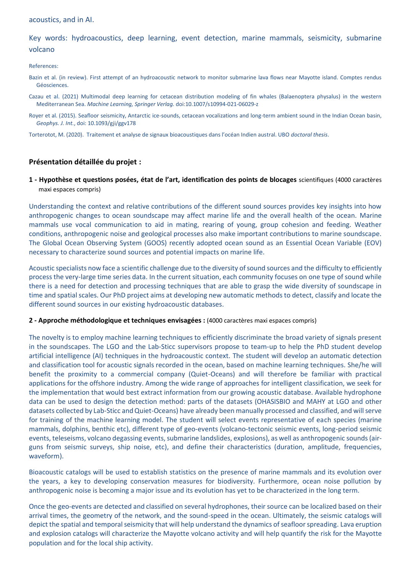#### acoustics, and in AI.

# Key words: hydroacoustics, deep learning, event detection, marine mammals, seismicity, submarine volcano

#### References:

- Bazin et al. (in review). First attempt of an hydroacoustic network to monitor submarine lava flows near Mayotte island. Comptes rendus Géosciences.
- Cazau et al. (2021) Multimodal deep learning for cetacean distribution modeling of fin whales (Balaenoptera physalus) in the western Mediterranean Sea. *Machine Learning, Springer Verlag.* doi:10.1007/s10994-021-06029-z
- Royer et al. (2015). Seafloor seismicity, Antarctic ice-sounds, cetacean vocalizations and long-term ambient sound in the Indian Ocean basin, *Geophys. J. Int.*, doi: 10.1093/gji/ggv178

Torterotot, M. (2020). Traitement et analyse de signaux bioacoustiques dans l'océan Indien austral. UBO *doctoral thesis*.

### **Présentation détaillée du projet :**

**1 - Hypothèse et questions posées, état de l'art, identification des points de blocages** scientifiques (4000 caractères maxi espaces compris)

Understanding the context and relative contributions of the different sound sources provides key insights into how anthropogenic changes to ocean soundscape may affect marine life and the overall health of the ocean. Marine mammals use vocal communication to aid in mating, rearing of young, group cohesion and feeding. Weather conditions, anthropogenic noise and geological processes also make important contributions to marine soundscape. The Global Ocean Observing System (GOOS) recently adopted ocean sound as an Essential Ocean Variable (EOV) necessary to characterize sound sources and potential impacts on marine life.

Acoustic specialists now face a scientific challenge due to the diversity of sound sources and the difficulty to efficiently process the very-large time series data. In the current situation, each community focuses on one type of sound while there is a need for detection and processing techniques that are able to grasp the wide diversity of soundscape in time and spatial scales. Our PhD project aims at developing new automatic methods to detect, classify and locate the different sound sources in our existing hydroacoustic databases.

#### **2 - Approche méthodologique et techniques envisagées :** (4000 caractères maxi espaces compris)

The novelty is to employ machine learning techniques to efficiently discriminate the broad variety of signals present in the soundscapes. The LGO and the Lab-Sticc supervisors propose to team-up to help the PhD student develop artificial intelligence (AI) techniques in the hydroacoustic context. The student will develop an automatic detection and classification tool for acoustic signals recorded in the ocean, based on machine learning techniques. She/he will benefit the proximity to a commercial company (Quiet-Oceans) and will therefore be familiar with practical applications for the offshore industry. Among the wide range of approaches for intelligent classification, we seek for the implementation that would best extract information from our growing acoustic database. Available hydrophone data can be used to design the detection method: parts of the datasets (OHASISBIO and MAHY at LGO and other datasets collected by Lab-Sticc and Quiet-Oceans) have already been manually processed and classified, and will serve for training of the machine learning model. The student will select events representative of each species (marine mammals, dolphins, benthic etc), different type of geo-events (volcano-tectonic seismic events, long-period seismic events, teleseisms, volcano degassing events, submarine landslides, explosions), as well as anthropogenic sounds (airguns from seismic surveys, ship noise, etc), and define their characteristics (duration, amplitude, frequencies, waveform).

Bioacoustic catalogs will be used to establish statistics on the presence of marine mammals and its evolution over the years, a key to developing conservation measures for biodiversity. Furthermore, ocean noise pollution by anthropogenic noise is becoming a major issue and its evolution has yet to be characterized in the long term.

Once the geo-events are detected and classified on several hydrophones, their source can be localized based on their arrival times, the geometry of the network, and the sound-speed in the ocean. Ultimately, the seismic catalogs will depict the spatial and temporal seismicity that will help understand the dynamics of seafloor spreading. Lava eruption and explosion catalogs will characterize the Mayotte volcano activity and will help quantify the risk for the Mayotte population and for the local ship activity.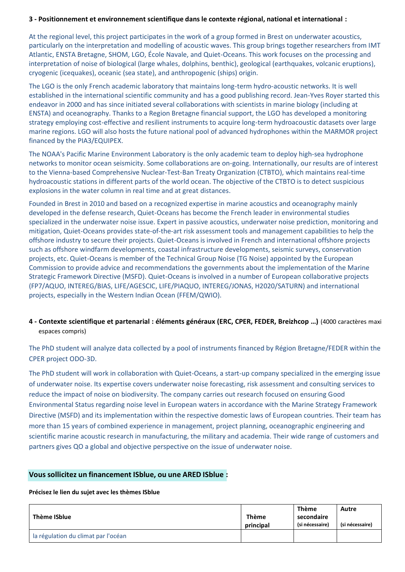# **3 - Positionnement et environnement scientifique dans le contexte régional, national et international :**

At the regional level, this project participates in the work of a group formed in Brest on underwater acoustics, particularly on the interpretation and modelling of acoustic waves. This group brings together researchers from IMT Atlantic, ENSTA Bretagne, SHOM, LGO, École Navale, and Quiet-Oceans. This work focuses on the processing and interpretation of noise of biological (large whales, dolphins, benthic), geological (earthquakes, volcanic eruptions), cryogenic (icequakes), oceanic (sea state), and anthropogenic (ships) origin.

The LGO is the only French academic laboratory that maintains long-term hydro-acoustic networks. It is well established in the international scientific community and has a good publishing record. Jean-Yves Royer started this endeavor in 2000 and has since initiated several collaborations with scientists in marine biology (including at ENSTA) and oceanography. Thanks to a Region Bretagne financial support, the LGO has developed a monitoring strategy employing cost-effective and resilient instruments to acquire long-term hydroacoustic datasets over large marine regions. LGO will also hosts the future national pool of advanced hydrophones within the MARMOR project financed by the PIA3/EQUIPEX.

The NOAA's Pacific Marine Environment Laboratory is the only academic team to deploy high-sea hydrophone networks to monitor ocean seismicity. Some collaborations are on-going. Internationally, our results are of interest to the Vienna-based Comprehensive Nuclear-Test-Ban Treaty Organization (CTBTO), which maintains real-time hydroacoustic stations in different parts of the world ocean. The objective of the CTBTO is to detect suspicious explosions in the water column in real time and at great distances.

Founded in Brest in 2010 and based on a recognized expertise in marine acoustics and oceanography mainly developed in the defense research, Quiet-Oceans has become the French leader in environmental studies specialized in the underwater noise issue. Expert in passive acoustics, underwater noise prediction, monitoring and mitigation, Quiet-Oceans provides state-of-the-art risk assessment tools and management capabilities to help the offshore industry to secure their projects. Quiet-Oceans is involved in French and international offshore projects such as offshore windfarm developments, coastal infrastructure developments, seismic surveys, conservation projects, etc. Quiet-Oceans is member of the Technical Group Noise (TG Noise) appointed by the European Commission to provide advice and recommendations the governments about the implementation of the Marine Strategic Framework Directive (MSFD). Quiet-Oceans is involved in a number of European collaborative projects (FP7/AQUO, INTEREG/BIAS, LIFE/AGESCIC, LIFE/PIAQUO, INTEREG/JONAS, H2020/SATURN) and international projects, especially in the Western Indian Ocean (FFEM/QWIO).

# **4 - Contexte scientifique et partenarial : éléments généraux (ERC, CPER, FEDER, Breizhcop …)** (4000 caractères maxi espaces compris)

The PhD student will analyze data collected by a pool of instruments financed by Région Bretagne/FEDER within the CPER project ODO-3D.

The PhD student will work in collaboration with Quiet-Oceans, a start-up company specialized in the emerging issue of underwater noise. Its expertise covers underwater noise forecasting, risk assessment and consulting services to reduce the impact of noise on biodiversity. The company carries out research focused on ensuring Good Environmental Status regarding noise level in European waters in accordance with the Marine Strategy Framework Directive (MSFD) and its implementation within the respective domestic laws of European countries. Their team has more than 15 years of combined experience in management, project planning, oceanographic engineering and scientific marine acoustic research in manufacturing, the military and academia. Their wide range of customers and partners gives QO a global and objective perspective on the issue of underwater noise.

# **Vous sollicitez un financement ISblue, ou une ARED ISblue :**

# **Précisez le lien du sujet avec les thèmes ISblue**

| Thème ISblue                        | <b>Thème</b><br>principal | <b>Thème</b><br>secondaire<br>(si nécessaire) | Autre<br>(si nécessaire) |
|-------------------------------------|---------------------------|-----------------------------------------------|--------------------------|
| la régulation du climat par l'océan |                           |                                               |                          |